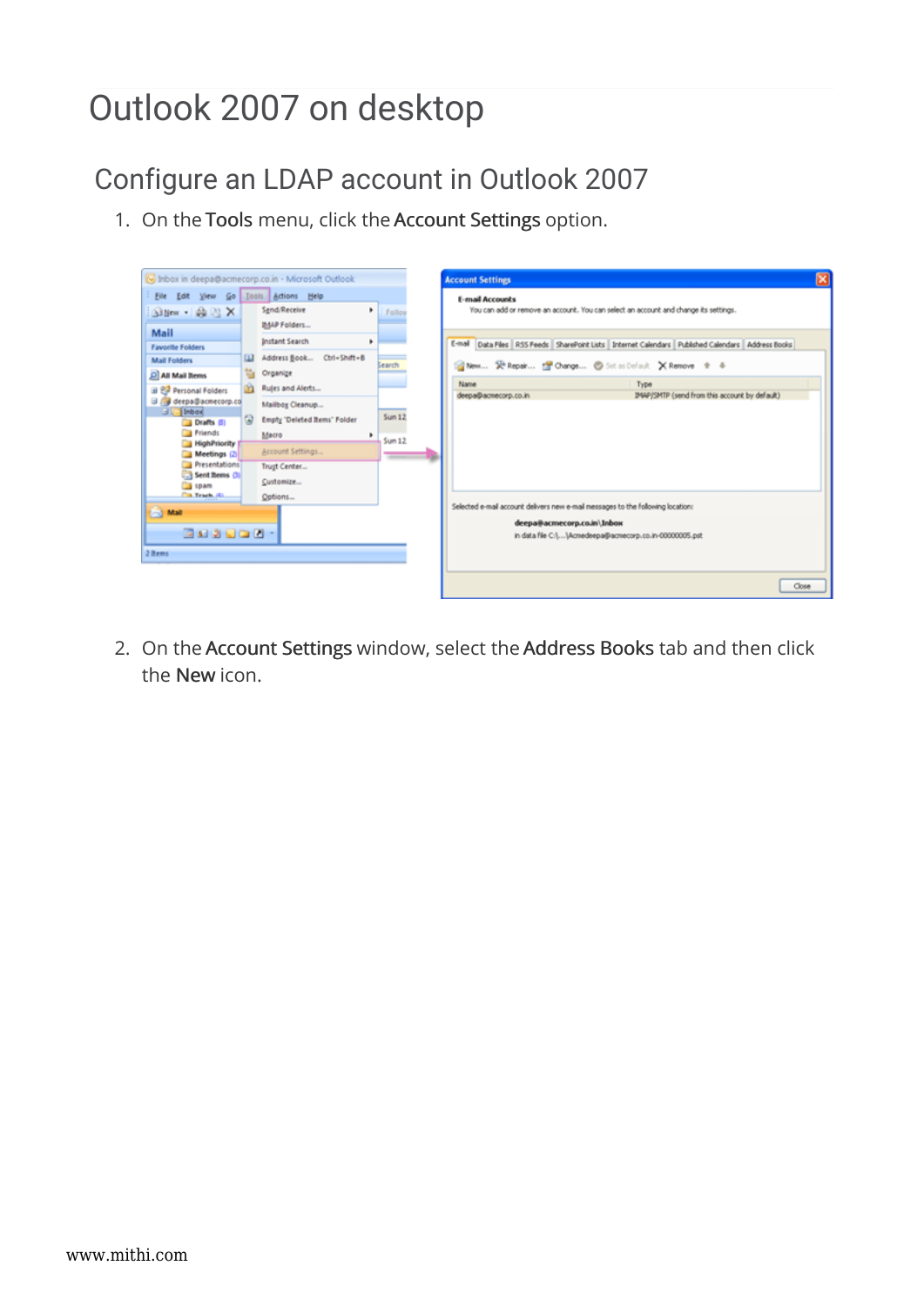## Outlook 2007 on desktop

Configure an LDAP account in Outlook 2007

1. On the Tools menu, click the Account Settings option.

|                                                                                                                                                                                                                                                                                                                              | I Inbox in deepa@acmecorp.co.in - Microsoft Outlook                                                                                                                                                                                                                          |                                             | <b>Account Settings</b>                                                                                                                                                                                                                                                                                                                                            |  |
|------------------------------------------------------------------------------------------------------------------------------------------------------------------------------------------------------------------------------------------------------------------------------------------------------------------------------|------------------------------------------------------------------------------------------------------------------------------------------------------------------------------------------------------------------------------------------------------------------------------|---------------------------------------------|--------------------------------------------------------------------------------------------------------------------------------------------------------------------------------------------------------------------------------------------------------------------------------------------------------------------------------------------------------------------|--|
| Eile Edit View Go Tools Actions Help<br>Sillew <b>BID</b> X<br>Mail<br><b>Favorite Folders</b><br><b>Mail Folders</b><br>C All Mail Rems<br>田 巴 Personal Folders<br>a / deepa@acmecorp.co<br>$H = H$<br><b>Drafts</b> (5)<br><b>Friends</b><br><b>HighPriority</b><br>Meetings (2)<br>Presentations<br>Sent Rems (3)<br>spam | Send/Receive<br>٠<br>IMAP Folders<br><b>Instant Search</b><br>٠<br>Address Book Ctrl+Shift+B<br>ш<br>e.<br>Organize<br>Rujes and Alerts<br>Mailbox Cleanup<br>$\omega$<br><b>Empty 'Deleted Items' Folder</b><br>Масго<br>٠<br>Account Settings<br>Trust Center<br>Customize | Follow<br><b>Search</b><br>Sum 12<br>Sum 12 | <b>E-mail Accounts</b><br>You can add or remove an account. You can select an account and change its settings.<br>E-mail Data Files RSS Feeds SharePoint Lists Internet Calendars Published Calendars Address Books<br>@New 安Repak (McChange © Sot as Default XRemove 全 る<br>Name<br>Туре<br>IMAP/SMTP (send from this account by default)<br>deepa@acmecorp.co.in |  |
| <b>Ca Track (G)</b><br>Mail<br>国内の関係の一<br>2 items                                                                                                                                                                                                                                                                            | Options                                                                                                                                                                                                                                                                      |                                             | Selected e-mail account delivers new e-mail messages to the following location:<br>deepa@acmecorp.co.in\Inbox<br>in data file C:\\Acmedeepa@acmecorp.co.in-00000005.pst<br>Close                                                                                                                                                                                   |  |

2. On the Account Settings window, select the Address Books tab and then click the New icon.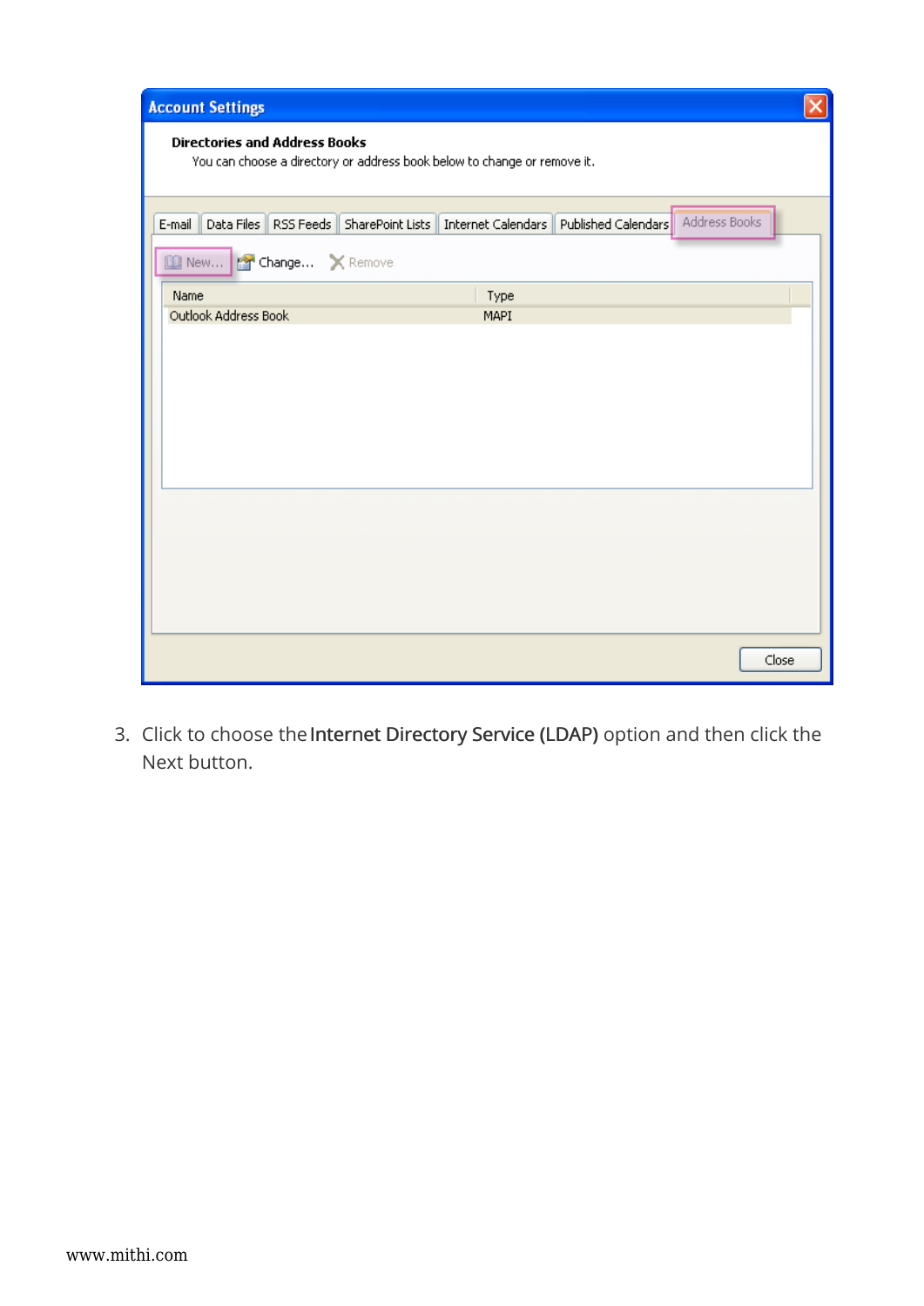| <b>Account Settings</b>                                                                                           |  |
|-------------------------------------------------------------------------------------------------------------------|--|
| <b>Directories and Address Books</b><br>You can choose a directory or address book below to change or remove it.  |  |
| Address Books<br>Data Files   RSS Feeds   SharePoint Lists   Internet Calendars   Published Calendars  <br>E-mail |  |
| New <b>Prof Change</b> X Remove                                                                                   |  |
| Name<br>Type                                                                                                      |  |
| Outlook Address Book<br>MAPI                                                                                      |  |
|                                                                                                                   |  |
|                                                                                                                   |  |
|                                                                                                                   |  |
|                                                                                                                   |  |
|                                                                                                                   |  |
|                                                                                                                   |  |
|                                                                                                                   |  |
|                                                                                                                   |  |
|                                                                                                                   |  |
|                                                                                                                   |  |
|                                                                                                                   |  |
|                                                                                                                   |  |
|                                                                                                                   |  |
| Close                                                                                                             |  |

3. Click to choose the Internet Directory Service (LDAP) option and then click the Next button.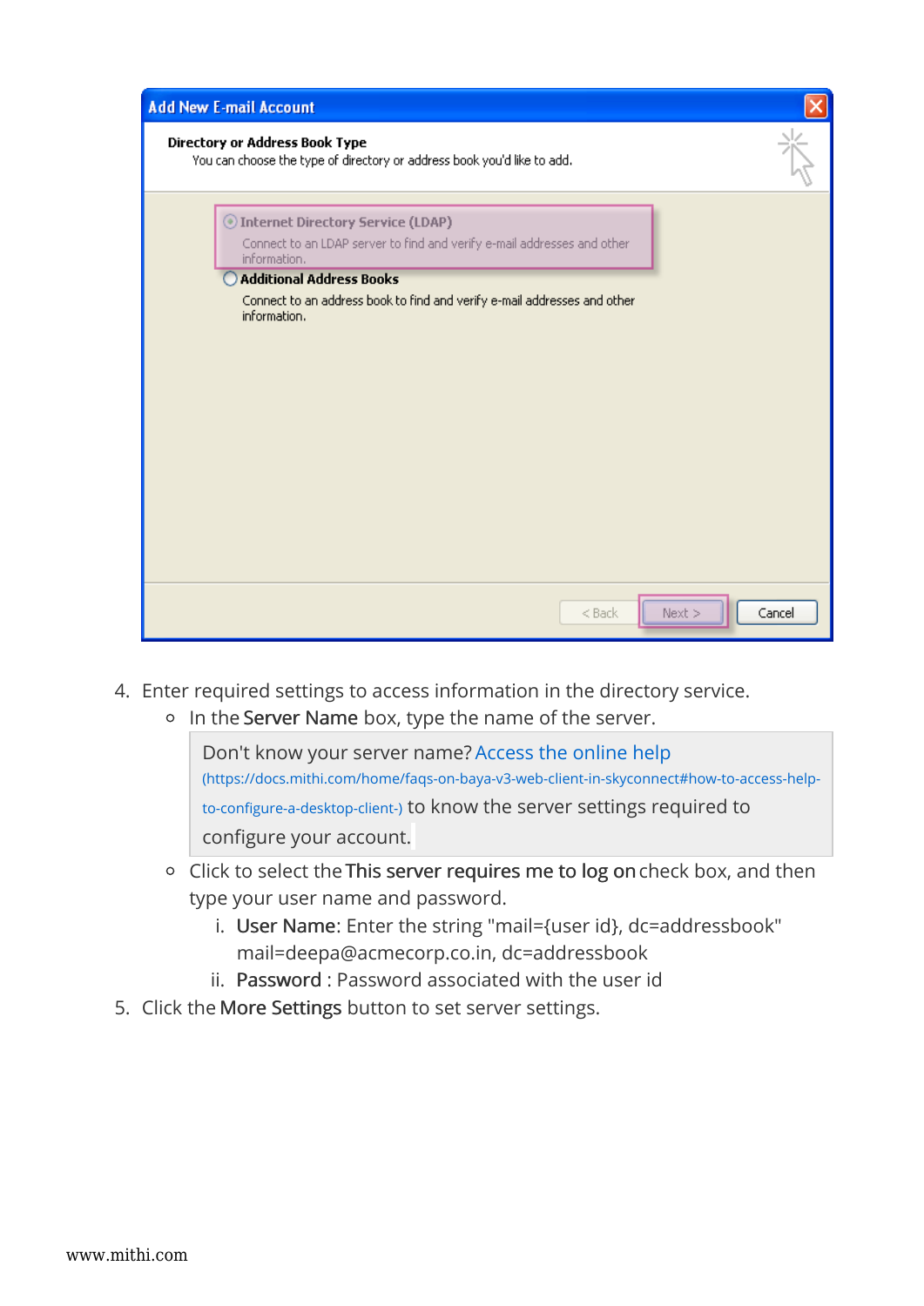| <b>Add New E-mail Account</b>                                                                                                                                                                                                                               |        |
|-------------------------------------------------------------------------------------------------------------------------------------------------------------------------------------------------------------------------------------------------------------|--------|
| <b>Directory or Address Book Type</b><br>You can choose the type of directory or address book you'd like to add.                                                                                                                                            |        |
| Internet Directory Service (LDAP)<br>Connect to an LDAP server to find and verify e-mail addresses and other<br>information.<br><b>Additional Address Books</b><br>Connect to an address book to find and verify e-mail addresses and other<br>information. |        |
| Next<br>$<$ Back                                                                                                                                                                                                                                            | Cancel |

- 4. Enter required settings to access information in the directory service.
	- o In the Server Name box, type the name of the server.

Don't know your server name? Access the online help (https://docs.mithi.com/home/faqs-on-baya-v3-web-client-in-skyconnect#how-to-access-helpto-configure-a-desktop-client-) to know the server settings required to configure your account.

- <sup>o</sup> Click to select the This server requires me to log on check box, and then type your user name and password.
	- i. User Name: Enter the string "mail={user id}, dc=addressbook" mail=deepa@acmecorp.co.in, dc=addressbook
	- ii. Password : Password associated with the user id
- 5. Click the More Settings button to set server settings.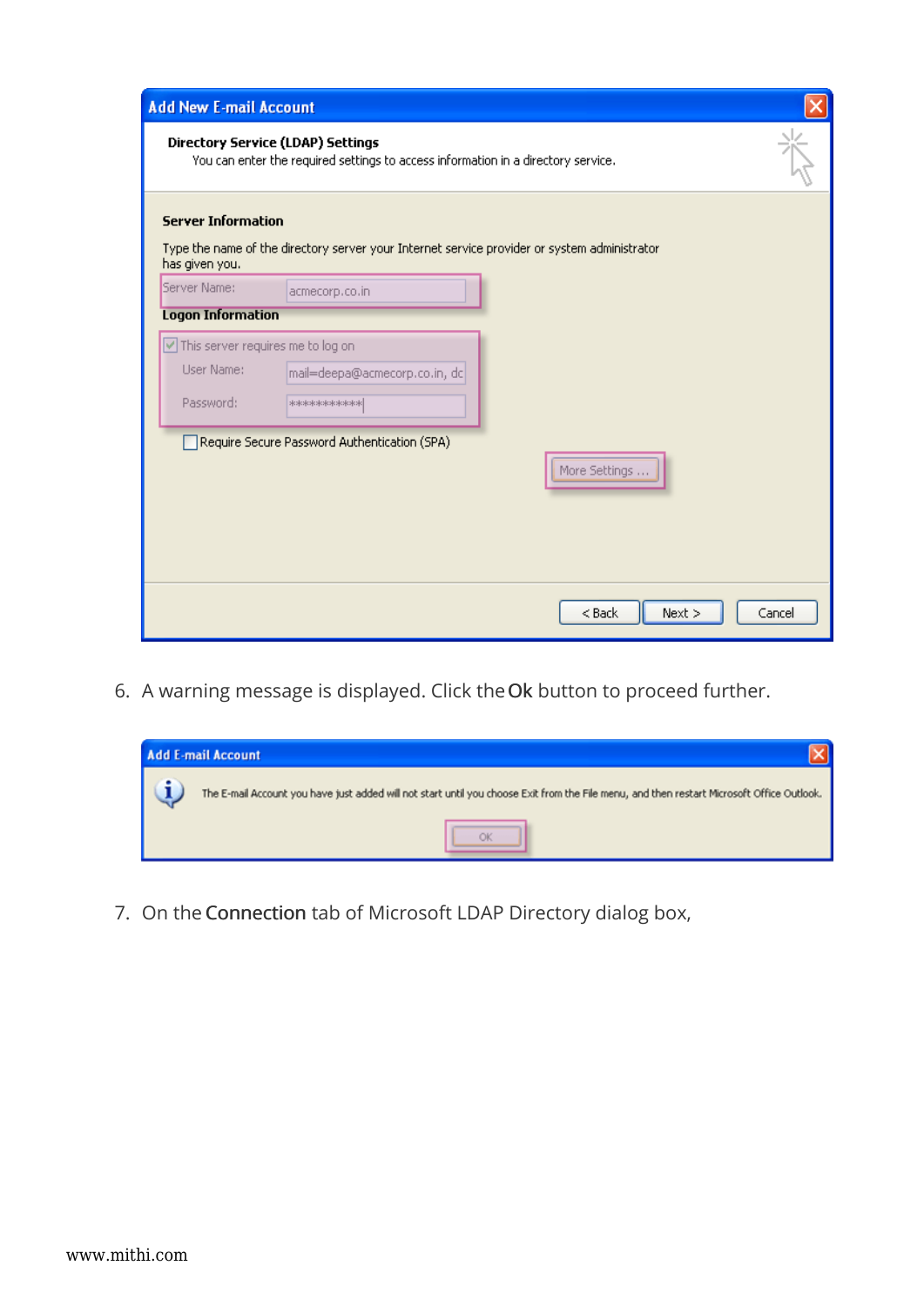| <b>Add New E-mail Account</b>     |                                                                                                                               |        |
|-----------------------------------|-------------------------------------------------------------------------------------------------------------------------------|--------|
|                                   | <b>Directory Service (LDAP) Settings</b><br>You can enter the required settings to access information in a directory service. |        |
| <b>Server Information</b>         |                                                                                                                               |        |
| has given you.                    | Type the name of the directory server your Internet service provider or system administrator                                  |        |
| Server Name:                      | acmecorp.co.in                                                                                                                |        |
| <b>Logon Information</b>          |                                                                                                                               |        |
| This server requires me to log on |                                                                                                                               |        |
| User Name:                        | mail=deepa@acmecorp.co.in, dc                                                                                                 |        |
| Password:                         | <b>NOROKOROKOROKORO</b>                                                                                                       |        |
|                                   | Require Secure Password Authentication (SPA)                                                                                  |        |
|                                   | More Settings                                                                                                                 |        |
|                                   |                                                                                                                               |        |
|                                   |                                                                                                                               |        |
|                                   |                                                                                                                               |        |
|                                   |                                                                                                                               |        |
|                                   | $<$ Back<br>Next                                                                                                              | Cancel |

6. A warning message is displayed. Click theOk button to proceed further.



7. On the Connection tab of Microsoft LDAP Directory dialog box,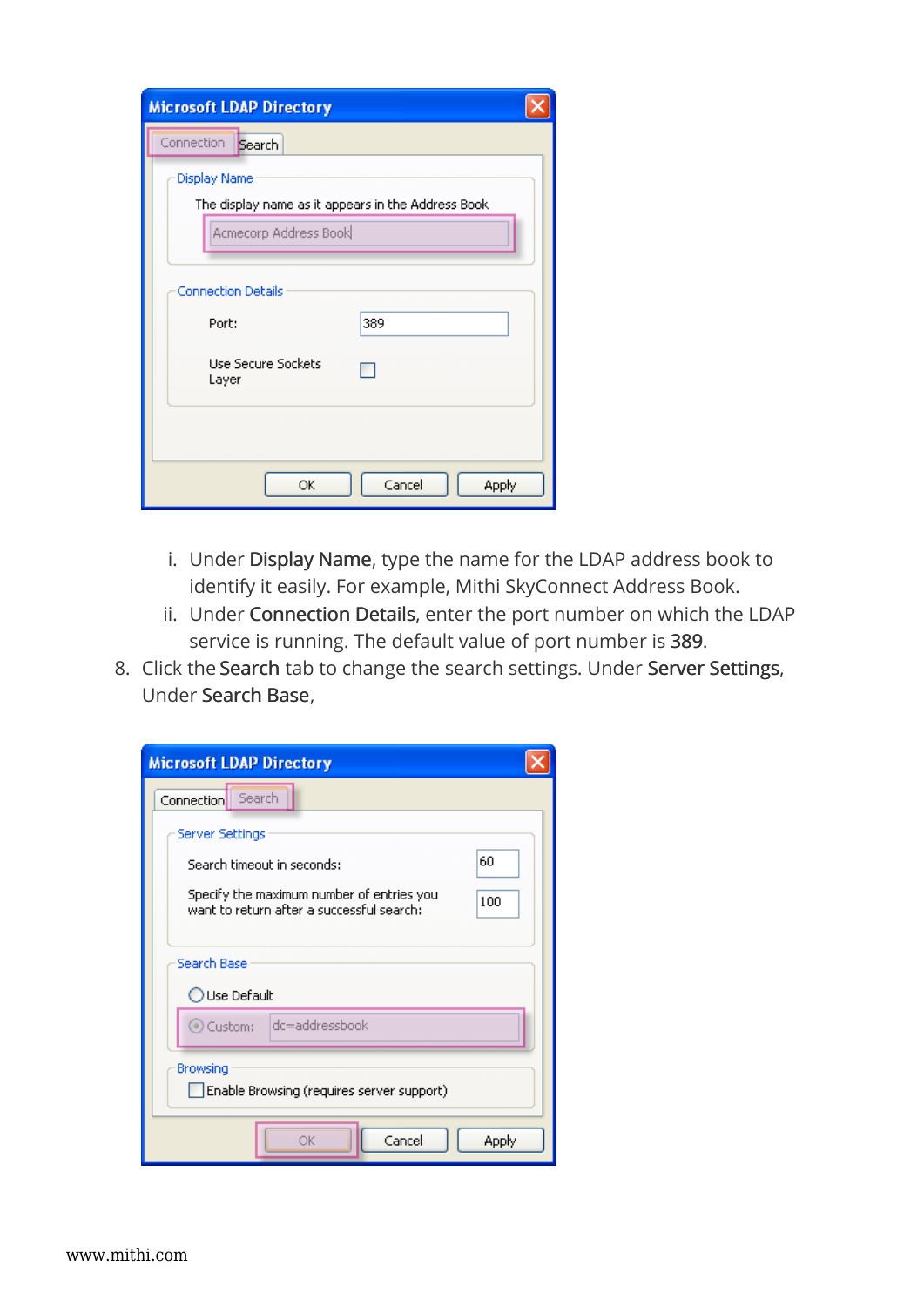| <b>Microsoft LDAP Directory</b>                    |       |  |  |
|----------------------------------------------------|-------|--|--|
| Connection<br>Search                               |       |  |  |
| <b>Display Name</b>                                |       |  |  |
| The display name as it appears in the Address Book |       |  |  |
| Acmecorp Address Book                              |       |  |  |
|                                                    |       |  |  |
| <b>Connection Details</b>                          |       |  |  |
| 389<br>Port:                                       |       |  |  |
| Use Secure Sockets<br>Layer                        |       |  |  |
|                                                    |       |  |  |
| Cancel<br>ОК                                       | Apply |  |  |

- i. Under Display Name, type the name for the LDAP address book to identify it easily. For example, Mithi SkyConnect Address Book.
- ii. Under Connection Details, enter the port number on which the LDAP service is running. The default value of port number is 389.
- 8. Click the Search tab to change the search settings. Under Server Settings, Under Search Base,

| <b>Microsoft LDAP Directory</b>                                                               |  |  |  |
|-----------------------------------------------------------------------------------------------|--|--|--|
| Search<br>Connection                                                                          |  |  |  |
| Server Settings                                                                               |  |  |  |
| 60<br>Search timeout in seconds:                                                              |  |  |  |
| Specify the maximum number of entries you<br>100<br>want to return after a successful search: |  |  |  |
| Search Base                                                                                   |  |  |  |
| ◯ Use Default                                                                                 |  |  |  |
| dc=addressbook<br>Custom:                                                                     |  |  |  |
| Browsing<br>Enable Browsing (requires server support)                                         |  |  |  |
| Cancel<br>Apply<br>ŌK                                                                         |  |  |  |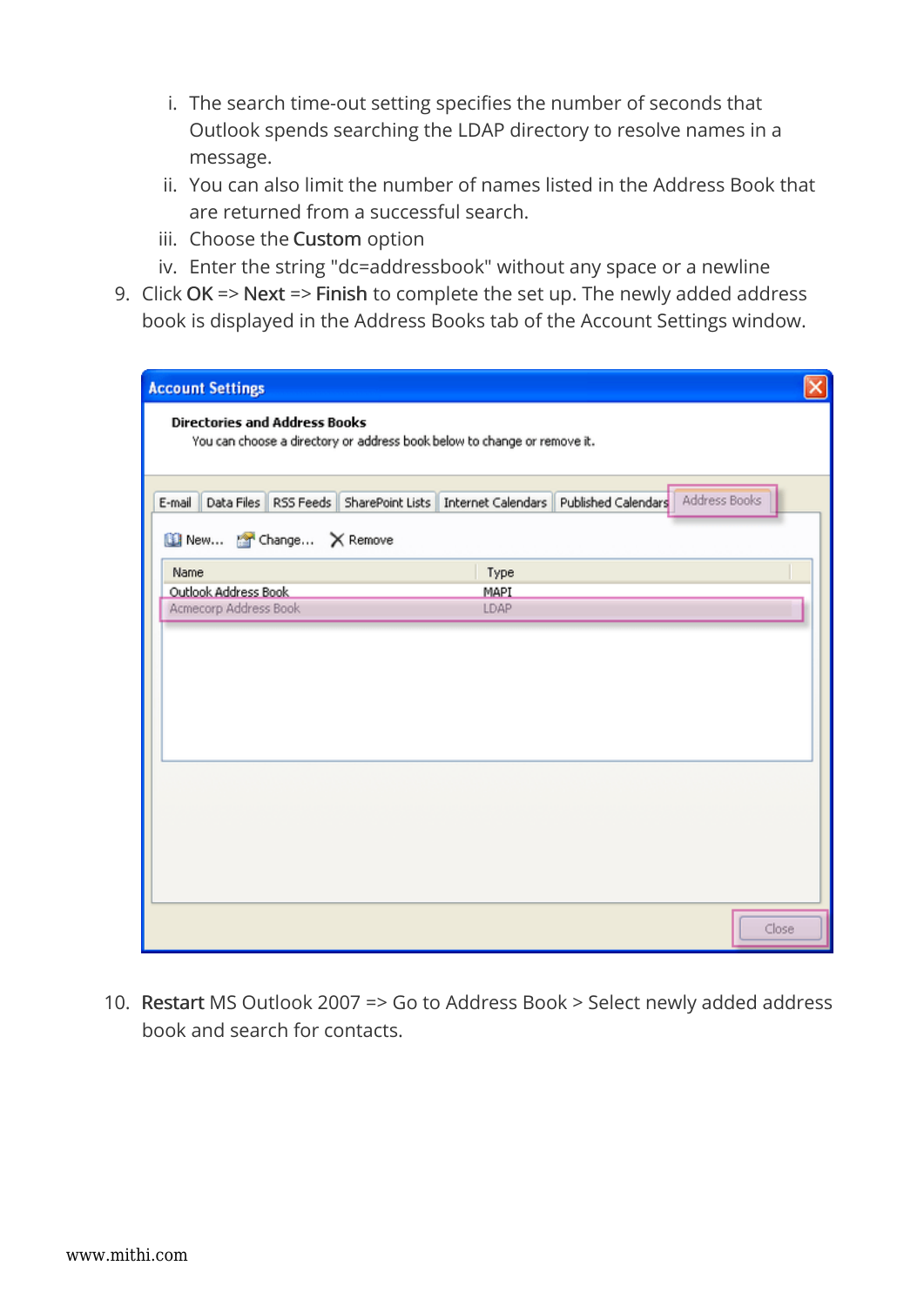- i. The search time-out setting specifies the number of seconds that Outlook spends searching the LDAP directory to resolve names in a message.
- ii. You can also limit the number of names listed in the Address Book that are returned from a successful search.
- iii. Choose the Custom option
- iv. Enter the string "dc=addressbook" without any space or a newline
- 9. Click OK => Next => Finish to complete the set up. The newly added address book is displayed in the Address Books tab of the Account Settings window.

| Address Books<br>E-mail Data Files RSS Feeds SharePoint Lists Internet Calendars Published Calendars<br>New <b>The Change</b> X Remove<br>Type<br>Outlook Address Book<br>MAPI<br>Acmecorp Address Book<br>LDAP |
|-----------------------------------------------------------------------------------------------------------------------------------------------------------------------------------------------------------------|
|                                                                                                                                                                                                                 |
|                                                                                                                                                                                                                 |
|                                                                                                                                                                                                                 |
|                                                                                                                                                                                                                 |
|                                                                                                                                                                                                                 |
|                                                                                                                                                                                                                 |
|                                                                                                                                                                                                                 |
|                                                                                                                                                                                                                 |
|                                                                                                                                                                                                                 |
|                                                                                                                                                                                                                 |
|                                                                                                                                                                                                                 |
|                                                                                                                                                                                                                 |
|                                                                                                                                                                                                                 |
|                                                                                                                                                                                                                 |
|                                                                                                                                                                                                                 |
|                                                                                                                                                                                                                 |
|                                                                                                                                                                                                                 |
|                                                                                                                                                                                                                 |

10. Restart MS Outlook 2007 => Go to Address Book > Select newly added address book and search for contacts.